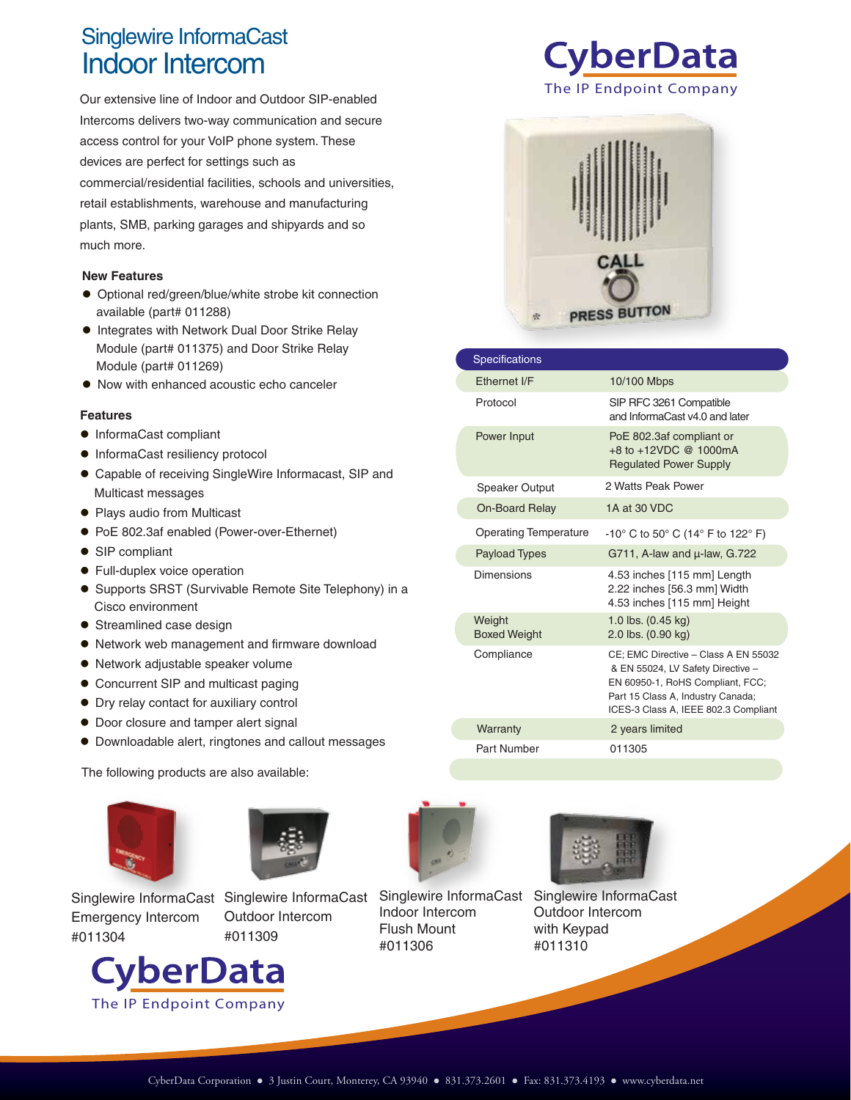## Indoor Intercom Singlewire InformaCast

Our extensive line of Indoor and Outdoor SIP-enabled Intercoms delivers two-way communication and secure access control for your VoIP phone system. These devices are perfect for settings such as commercial/residential facilities, schools and universities, retail establishments, warehouse and manufacturing plants, SMB, parking garages and shipyards and so much more.

## **New Features**

- Optional red/green/blue/white strobe kit connection available (part# 011288)
- **Integrates with Network Dual Door Strike Relay** Module (part# 011375) and Door Strike Relay Module (part# 011269)
- Now with enhanced acoustic echo canceler

## **Features**

- InformaCast compliant
- $\bullet$  InformaCast resiliency protocol
- Capable of receiving SingleWire Informacast, SIP and Multicast messages
- Plays audio from Multicast
- PoE 802.3af enabled (Power-over-Ethernet)
- SIP compliant
- Full-duplex voice operation
- Supports SRST (Survivable Remote Site Telephony) in a Cisco environment
- Streamlined case design
- Network web management and firmware download
- Network adjustable speaker volume
- Concurrent SIP and multicast paging
- Dry relay contact for auxiliary control
- Door closure and tamper alert signal
- Downloadable alert, ringtones and callout messages

The following products are also available:





**Singlewire InformaCast** Emergency Intercom #011304





Singlewire InformaCast Indoor Intercom Flush Mount #011306



Singlewire InformaCast

Outdoor Intercom with Keypad #011310





| <b>Specifications</b>         |                                                                                                                                                                                            |
|-------------------------------|--------------------------------------------------------------------------------------------------------------------------------------------------------------------------------------------|
| Ethernet I/F                  | 10/100 Mbps                                                                                                                                                                                |
| Protocol                      | SIP RFC 3261 Compatible<br>and InformaCast v4.0 and later                                                                                                                                  |
| Power Input                   | PoE 802.3af compliant or<br>$+8$ to $+12$ VDC @ 1000mA<br><b>Regulated Power Supply</b>                                                                                                    |
| <b>Speaker Output</b>         | 2 Watts Peak Power                                                                                                                                                                         |
| <b>On-Board Relay</b>         | 1A at 30 VDC                                                                                                                                                                               |
| <b>Operating Temperature</b>  | $-10^{\circ}$ C to 50 $^{\circ}$ C (14 $^{\circ}$ F to 122 $^{\circ}$ F)                                                                                                                   |
| <b>Payload Types</b>          | G711, A-law and $\mu$ -law, G.722                                                                                                                                                          |
| Dimensions                    | 4.53 inches [115 mm] Length<br>2.22 inches [56.3 mm] Width<br>4.53 inches [115 mm] Height                                                                                                  |
| Weight<br><b>Boxed Weight</b> | 1.0 lbs. (0.45 kg)<br>2.0 lbs. (0.90 kg)                                                                                                                                                   |
| Compliance                    | CE; EMC Directive - Class A EN 55032<br>& EN 55024, LV Safety Directive -<br>EN 60950-1, RoHS Compliant, FCC;<br>Part 15 Class A, Industry Canada;<br>ICES-3 Class A, IEEE 802.3 Compliant |
| Warranty                      | 2 years limited                                                                                                                                                                            |
| Part Number                   | 011305                                                                                                                                                                                     |